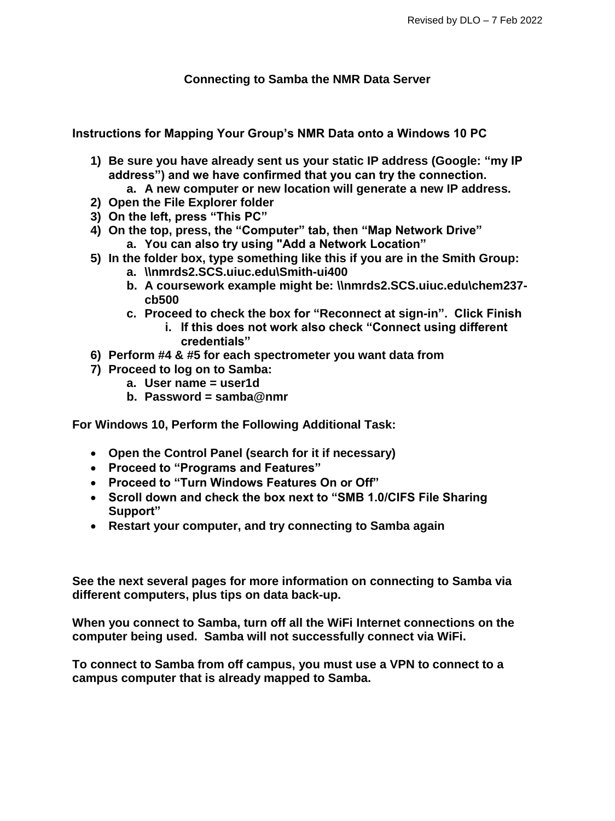### **Connecting to Samba the NMR Data Server**

**Instructions for Mapping Your Group's NMR Data onto a Windows 10 PC**

- **1) Be sure you have already sent us your static IP address (Google: "my IP address") and we have confirmed that you can try the connection.**
	- **a. A new computer or new location will generate a new IP address.**
- **2) Open the File Explorer folder**
- **3) On the left, press "This PC"**
- **4) On the top, press, the "Computer" tab, then "Map Network Drive"**
	- **a. You can also try using "Add a Network Location"**
- **5) In the folder box, type something like this if you are in the Smith Group:**
	- **a. \\nmrds2.SCS.uiuc.edu\Smith-ui400**
	- **b. A coursework example might be: \\nmrds2.SCS.uiuc.edu\chem237 cb500**
	- **c. Proceed to check the box for "Reconnect at sign-in". Click Finish**
		- **i. If this does not work also check "Connect using different credentials"**
- **6) Perform #4 & #5 for each spectrometer you want data from**
- **7) Proceed to log on to Samba:**
	- **a. User name = user1d**
	- **b. Password = samba@nmr**

**For Windows 10, Perform the Following Additional Task:**

- **Open the Control Panel (search for it if necessary)**
- **Proceed to "Programs and Features"**
- **Proceed to "Turn Windows Features On or Off"**
- **Scroll down and check the box next to "SMB 1.0/CIFS File Sharing Support"**
- **Restart your computer, and try connecting to Samba again**

**See the next several pages for more information on connecting to Samba via different computers, plus tips on data back-up.**

**When you connect to Samba, turn off all the WiFi Internet connections on the computer being used. Samba will not successfully connect via WiFi.**

**To connect to Samba from off campus, you must use a VPN to connect to a campus computer that is already mapped to Samba.**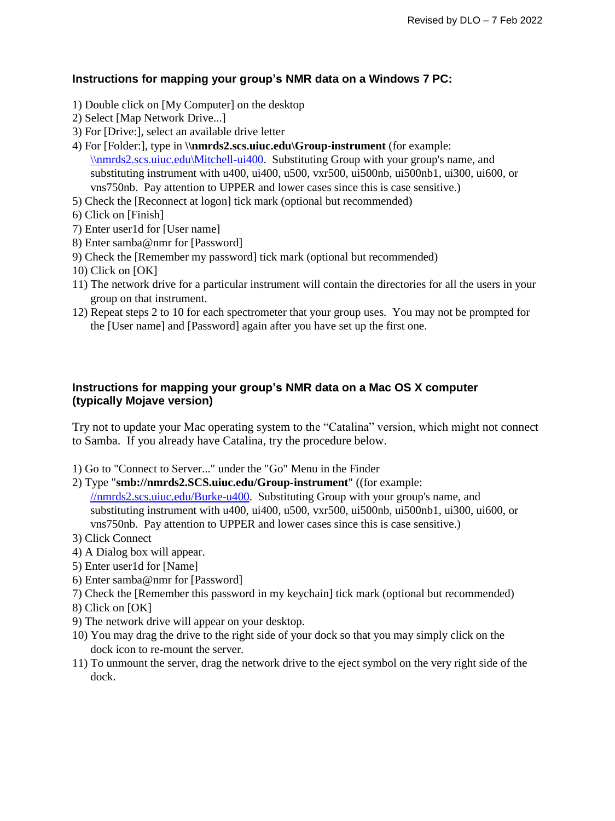### **Instructions for mapping your group's NMR data on a Windows 7 PC:**

- 1) Double click on [My Computer] on the desktop
- 2) Select [Map Network Drive...]
- 3) For [Drive:], select an available drive letter
- 4) For [Folder:], type in **\\nmrds2.scs.uiuc.edu\Group-instrument** (for example: [\\nmrds2.scs.uiuc.edu\Mitchell-ui400.](file://///nmrds2.scs.uiuc.edu/Mitchell-ui400) Substituting Group with your group's name, and substituting instrument with  $u400$ ,  $u400$ ,  $u500$ ,  $vxx500$ ,  $u500$ nb,  $u500$ nb1,  $u300$ ,  $u1600$ , or vns750nb. Pay attention to UPPER and lower cases since this is case sensitive.)
- 5) Check the [Reconnect at logon] tick mark (optional but recommended)
- 6) Click on [Finish]
- 7) Enter user1d for [User name]
- 8) Enter samba@nmr for [Password]
- 9) Check the [Remember my password] tick mark (optional but recommended)
- 10) Click on [OK]
- 11) The network drive for a particular instrument will contain the directories for all the users in your group on that instrument.
- 12) Repeat steps 2 to 10 for each spectrometer that your group uses. You may not be prompted for the [User name] and [Password] again after you have set up the first one.

### **Instructions for mapping your group's NMR data on a Mac OS X computer (typically Mojave version)**

Try not to update your Mac operating system to the "Catalina" version, which might not connect to Samba. If you already have Catalina, try the procedure below.

- 1) Go to "Connect to Server..." under the "Go" Menu in the Finder
- 2) Type "**smb://nmrds2.SCS.uiuc.edu/Group-instrument**" ((for example: [//nmrds2.scs.uiuc.edu/Burke-u400.](file://///nmrds2.scs.uiuc.edu/Burke-u400) Substituting Group with your group's name, and substituting instrument with u400, ui400, u500, vxr500, ui500nb, ui500nb1, ui300, ui600, or vns750nb. Pay attention to UPPER and lower cases since this is case sensitive.)
- 3) Click Connect
- 4) A Dialog box will appear.
- 5) Enter user1d for [Name]
- 6) Enter samba@nmr for [Password]
- 7) Check the [Remember this password in my keychain] tick mark (optional but recommended)
- 8) Click on [OK]
- 9) The network drive will appear on your desktop.
- 10) You may drag the drive to the right side of your dock so that you may simply click on the dock icon to re-mount the server.
- 11) To unmount the server, drag the network drive to the eject symbol on the very right side of the dock.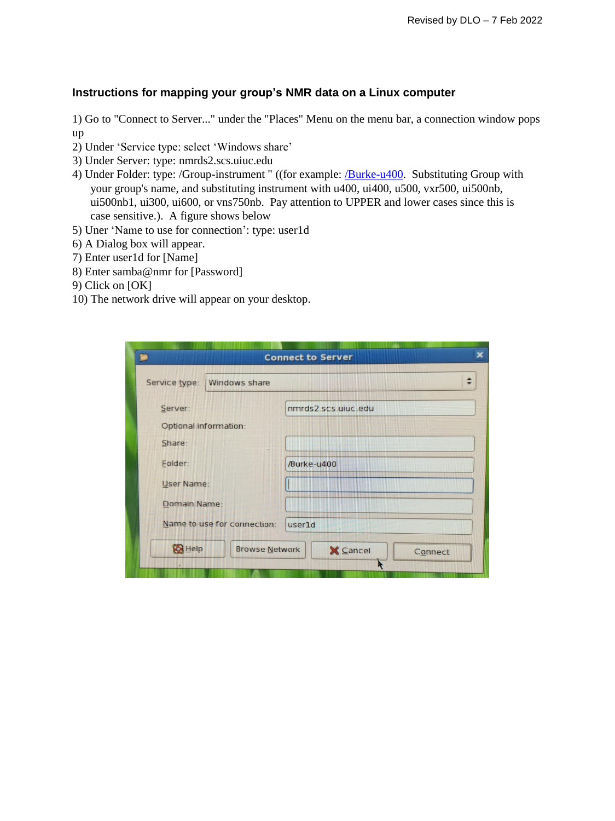### **Instructions for mapping your group's NMR data on a Linux computer**

1) Go to "Connect to Server..." under the "Places" Menu on the menu bar, a connection window pops up

- 2) Under 'Service type: select 'Windows share'
- 3) Under Server: type: nmrds2.scs.uiuc.edu
- 4) Under Folder: type: /Group-instrument " ((for example: **/Burke-u400**. Substituting Group with your group's name, and substituting instrument with u400, ui400, u500, vxr500, ui500nb, ui500nb1, ui300, ui600, or vns750nb. Pay attention to UPPER and lower cases since this is case sensitive.). A figure shows below
- 5) Uner 'Name to use for connection': type: user1d
- 6) A Dialog box will appear.
- 7) Enter user1d for [Name]
- 8) Enter samba@nmr for [Password]
- 9) Click on [OK]
- 10) The network drive will appear on your desktop.

|                                        | <b>Connect to Server</b>   |
|----------------------------------------|----------------------------|
| Service type:<br>Windows share         |                            |
| Server:                                | nmrds2.scs.uiuc.edu        |
| Optional information:                  |                            |
| Share:                                 |                            |
| Folder:                                | /Burke-u400                |
| User Name:                             |                            |
| Domain Name:                           |                            |
| Name to use for connection:            | user1d                     |
| <b>B</b> Help<br><b>Browse Network</b> | <b>X</b> Cancel<br>Connect |
|                                        |                            |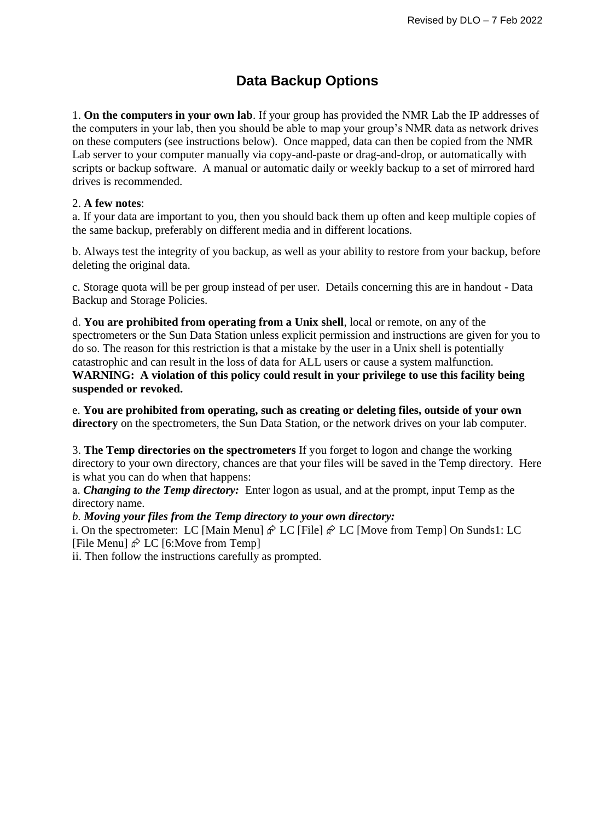# **Data Backup Options**

1. **On the computers in your own lab**. If your group has provided the NMR Lab the IP addresses of the computers in your lab, then you should be able to map your group's NMR data as network drives on these computers (see instructions below). Once mapped, data can then be copied from the NMR Lab server to your computer manually via copy-and-paste or drag-and-drop, or automatically with scripts or backup software. A manual or automatic daily or weekly backup to a set of mirrored hard drives is recommended.

### 2. **A few notes**:

a. If your data are important to you, then you should back them up often and keep multiple copies of the same backup, preferably on different media and in different locations.

b. Always test the integrity of you backup, as well as your ability to restore from your backup, before deleting the original data.

c. Storage quota will be per group instead of per user. Details concerning this are in handout - Data Backup and Storage Policies.

d. **You are prohibited from operating from a Unix shell**, local or remote, on any of the spectrometers or the Sun Data Station unless explicit permission and instructions are given for you to do so. The reason for this restriction is that a mistake by the user in a Unix shell is potentially catastrophic and can result in the loss of data for ALL users or cause a system malfunction. **WARNING: A violation of this policy could result in your privilege to use this facility being suspended or revoked.** 

e. **You are prohibited from operating, such as creating or deleting files, outside of your own directory** on the spectrometers, the Sun Data Station, or the network drives on your lab computer.

3. **The Temp directories on the spectrometers** If you forget to logon and change the working directory to your own directory, chances are that your files will be saved in the Temp directory. Here is what you can do when that happens:

a. *Changing to the Temp directory:* Enter logon as usual, and at the prompt, input Temp as the directory name.

#### *b. Moving your files from the Temp directory to your own directory:*

i. On the spectrometer: LC [Main Menu]  $\hat{\varphi}$  LC [File]  $\hat{\varphi}$  LC [Move from Temp] On Sunds1: LC [File Menu]  $\hat{\varphi}$  LC [6:Move from Temp]

ii. Then follow the instructions carefully as prompted.